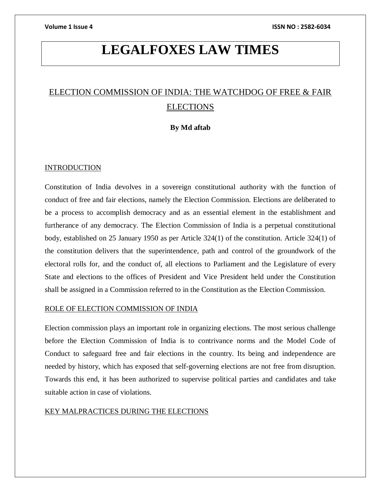# **LEGALFOXES LAW TIMES**

# ELECTION COMMISSION OF INDIA: THE WATCHDOG OF FREE & FAIR ELECTIONS

# **By Md aftab**

# INTRODUCTION

Constitution of India devolves in a sovereign constitutional authority with the function of conduct of free and fair elections, namely the Election Commission. Elections are deliberated to be a process to accomplish democracy and as an essential element in the establishment and furtherance of any democracy. The Election Commission of India is a perpetual constitutional body, established on 25 January 1950 as per Article 324(1) of the constitution. Article 324(1) of the constitution delivers that the superintendence, path and control of the groundwork of the electoral rolls for, and the conduct of, all elections to Parliament and the Legislature of every State and elections to the offices of President and Vice President held under the Constitution shall be assigned in a Commission referred to in the Constitution as the Election Commission.

# ROLE OF ELECTION COMMISSION OF INDIA

Election commission plays an important role in organizing elections. The most serious challenge before the Election Commission of India is to contrivance norms and the Model Code of Conduct to safeguard free and fair elections in the country. Its being and independence are needed by history, which has exposed that self-governing elections are not free from disruption. Towards this end, it has been authorized to supervise political parties and candidates and take suitable action in case of violations.

# KEY MALPRACTICES DURING THE ELECTIONS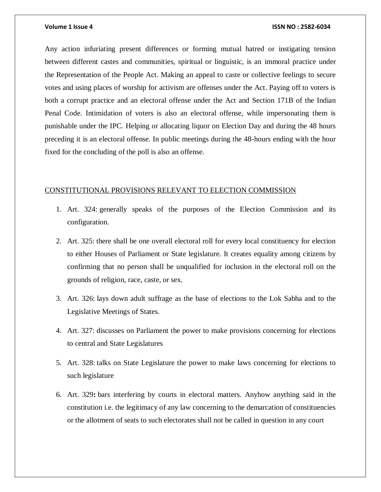Any action infuriating present differences or forming mutual hatred or instigating tension between different castes and communities, spiritual or linguistic, is an immoral practice under the Representation of the People Act. Making an appeal to caste or collective feelings to secure votes and using places of worship for activism are offenses under the Act. Paying off to voters is both a corrupt practice and an electoral offense under the Act and Section 171B of the Indian Penal Code. Intimidation of voters is also an electoral offense, while impersonating them is punishable under the IPC. Helping or allocating liquor on Election Day and during the 48 hours preceding it is an electoral offense. In public meetings during the 48-hours ending with the hour fixed for the concluding of the poll is also an offense.

# CONSTITUTIONAL PROVISIONS RELEVANT TO ELECTION COMMISSION

- 1. Art. 324: generally speaks of the purposes of the Election Commission and its configuration.
- 2. Art. 325: there shall be one overall electoral roll for every local constituency for election to either Houses of Parliament or State legislature. It creates equality among citizens by confirming that no person shall be unqualified for inclusion in the electoral roll on the grounds of religion, race, caste, or sex.
- 3. Art. 326: lays down adult suffrage as the base of elections to the Lok Sabha and to the Legislative Meetings of States.
- 4. Art. 327: discusses on Parliament the power to make provisions concerning for elections to central and State Legislatures
- 5. Art. 328: talks on State Legislature the power to make laws concerning for elections to such legislature
- 6. Art. 329**:** bars interfering by courts in electoral matters. Anyhow anything said in the constitution i.e. the legitimacy of any law concerning to the demarcation of constituencies or the allotment of seats to such electorates shall not be called in question in any court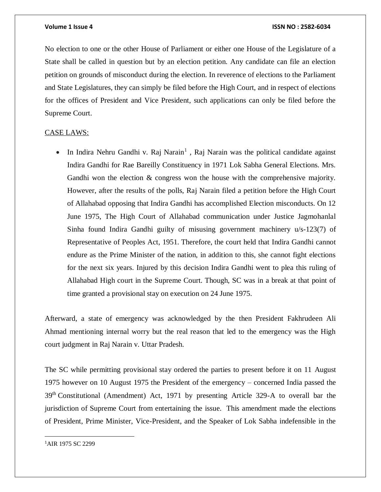No election to one or the other House of Parliament or either one House of the Legislature of a State shall be called in question but by an election petition. Any candidate can file an election petition on grounds of misconduct during the election. In reverence of elections to the Parliament and State Legislatures, they can simply be filed before the High Court, and in respect of elections for the offices of President and Vice President, such applications can only be filed before the Supreme Court.

# CASE LAWS:

• In Indira Nehru Gandhi v. Raj Narain<sup>1</sup>, Raj Narain was the political candidate against Indira Gandhi for Rae Bareilly Constituency in 1971 Lok Sabha General Elections. Mrs. Gandhi won the election  $\&$  congress won the house with the comprehensive majority. However, after the results of the polls, Raj Narain filed a petition before the High Court of Allahabad opposing that Indira Gandhi has accomplished Election misconducts. On 12 June 1975, The High Court of Allahabad communication under Justice Jagmohanlal Sinha found Indira Gandhi guilty of misusing government machinery u/s-123(7) of Representative of Peoples Act, 1951. Therefore, the court held that Indira Gandhi cannot endure as the Prime Minister of the nation, in addition to this, she cannot fight elections for the next six years. Injured by this decision Indira Gandhi went to plea this ruling of Allahabad High court in the Supreme Court. Though, SC was in a break at that point of time granted a provisional stay on execution on 24 June 1975.

Afterward, a state of emergency was acknowledged by the then President Fakhrudeen Ali Ahmad mentioning internal worry but the real reason that led to the emergency was the High court judgment in Raj Narain v. Uttar Pradesh.

The SC while permitting provisional stay ordered the parties to present before it on 11 August 1975 however on 10 August 1975 the President of the emergency – concerned India passed the 39th Constitutional (Amendment) Act, 1971 by presenting Article 329-A to overall bar the jurisdiction of Supreme Court from entertaining the issue. This amendment made the elections of President, Prime Minister, Vice-President, and the Speaker of Lok Sabha indefensible in the

1AIR 1975 SC 2299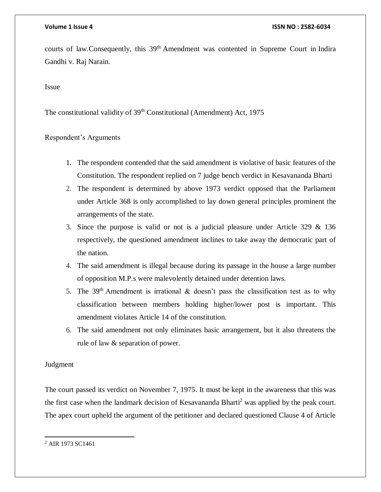courts of law.Consequently, this 39<sup>th</sup> Amendment was contented in Supreme Court in Indira Gandhi v. Raj Narain.

# Issue

The constitutional validity of 39<sup>th</sup> Constitutional (Amendment) Act, 1975

# Respondent's Arguments

- 1. The respondent contended that the said amendment is violative of basic features of the Constitution. The respondent replied on 7 judge bench verdict in [Kesavananda Bharti](https://lawtimesjournal.in/kesavananda-bharti-vs-state-of-kerala-case-summary/)
- 2. The respondent is determined by above 1973 verdict opposed that the Parliament under Article 368 is only accomplished to lay down general principles prominent the arrangements of the state.
- 3. Since the purpose is valid or not is a judicial pleasure under Article 329 & 136 respectively, the questioned amendment inclines to take away the democratic part of the nation.
- 4. The said amendment is illegal because during its passage in the house a large number of opposition M.P.s were malevolently detained under detention laws.
- 5. The 39<sup>th</sup> Amendment is irrational & doesn't pass the classification test as to why classification between members holding higher/lower post is important. This amendment violates Article 14 of the constitution.
- 6. The said amendment not only eliminates basic arrangement, but it also threatens the rule of law & separation of power.

# Judgment

The court passed its verdict on November 7, 1975. It must be kept in the awareness that this was the first case when the landmark decision of Kesavananda Bharti<sup>2</sup> was applied by the peak court. The apex court upheld the argument of the petitioner and declared questioned Clause 4 of Article

 $\overline{a}$ <sup>2</sup> AIR 1973 SC1461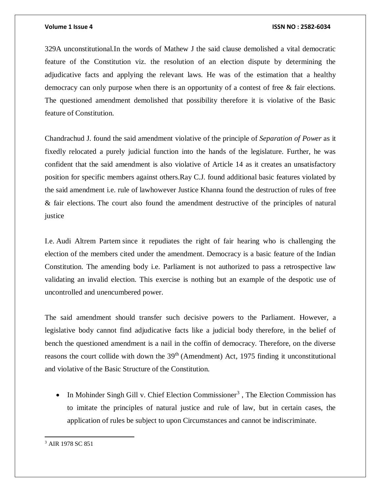329A unconstitutional.In the words of Mathew J the said clause demolished a vital democratic feature of the Constitution viz. the resolution of an election dispute by determining the adjudicative facts and applying the relevant laws. He was of the estimation that a healthy democracy can only purpose when there is an opportunity of a contest of free & fair elections. The questioned amendment demolished that possibility therefore it is violative of the Basic feature of Constitution.

Chandrachud J. found the said amendment violative of the principle of *Separation of Power* as it fixedly relocated a purely judicial function into the hands of the legislature. Further, he was confident that the said amendment is also violative of Article 14 as it creates an unsatisfactory position for specific members against others.Ray C.J. found additional basic features violated by the said amendment i.e. rule of lawhowever Justice Khanna found the destruction of rules of free & fair elections. The court also found the amendment destructive of the principles of natural justice

I.e. Audi Altrem Partem since it repudiates the right of fair hearing who is challenging the election of the members cited under the amendment. Democracy is a basic feature of the Indian Constitution. The amending body i.e. Parliament is not authorized to pass a retrospective law validating an invalid election. This exercise is nothing but an example of the despotic use of uncontrolled and unencumbered power.

The said amendment should transfer such decisive powers to the Parliament. However, a legislative body cannot find adjudicative facts like a judicial body therefore, in the belief of bench the questioned amendment is a nail in the coffin of democracy. Therefore, on the diverse reasons the court collide with down the  $39<sup>th</sup>$  (Amendment) Act, 1975 finding it unconstitutional and violative of the Basic Structure of the Constitution.

• In Mohinder Singh Gill v. Chief Election Commissioner<sup>3</sup>, The Election Commission has to imitate the principles of natural justice and rule of law, but in certain cases, the application of rules be subject to upon Circumstances and cannot be indiscriminate.

<sup>3</sup> AIR 1978 SC 851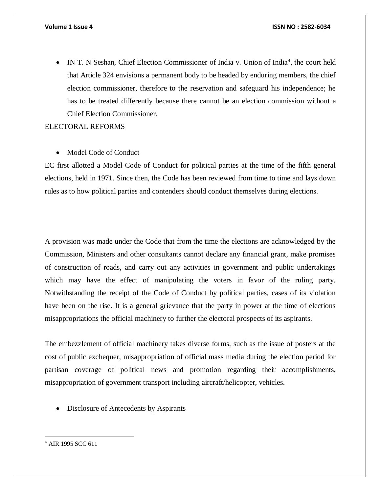• IN T. N Seshan, Chief Election Commissioner of India v. Union of India<sup>4</sup>, the court held that Article 324 envisions a permanent body to be headed by enduring members, the chief election commissioner, therefore to the reservation and safeguard his independence; he has to be treated differently because there cannot be an election commission without a Chief Election Commissioner.

# ELECTORAL REFORMS

• Model Code of Conduct

EC first allotted a Model Code of Conduct for political parties at the time of the fifth general elections, held in 1971. Since then, the Code has been reviewed from time to time and lays down rules as to how political parties and contenders should conduct themselves during elections.

A provision was made under the Code that from the time the elections are acknowledged by the Commission, Ministers and other consultants cannot declare any financial grant, make promises of construction of roads, and carry out any activities in government and public undertakings which may have the effect of manipulating the voters in favor of the ruling party. Notwithstanding the receipt of the Code of Conduct by political parties, cases of its violation have been on the rise. It is a general grievance that the party in power at the time of elections misappropriations the official machinery to further the electoral prospects of its aspirants.

The embezzlement of official machinery takes diverse forms, such as the issue of posters at the cost of public exchequer, misappropriation of official mass media during the election period for partisan coverage of political news and promotion regarding their accomplishments, misappropriation of government transport including aircraft/helicopter, vehicles.

• Disclosure of Antecedents by Aspirants

<sup>4</sup> AIR 1995 SCC 611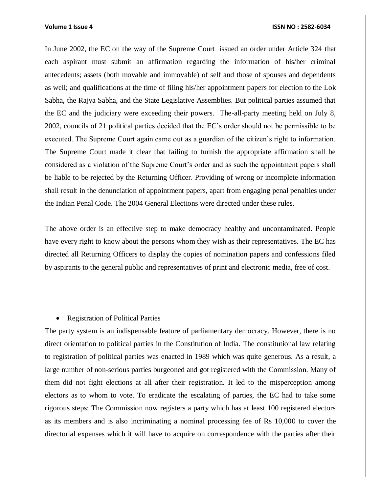In June 2002, the EC on the way of the Supreme Court issued an order under Article 324 that each aspirant must submit an affirmation regarding the information of his/her criminal antecedents; assets (both movable and immovable) of self and those of spouses and dependents as well; and qualifications at the time of filing his/her appointment papers for election to the Lok Sabha, the Rajya Sabha, and the State Legislative Assemblies. But political parties assumed that the EC and the judiciary were exceeding their powers. The-all-party meeting held on July 8, 2002, councils of 21 political parties decided that the EC's order should not be permissible to be executed. The Supreme Court again came out as a guardian of the citizen's right to information. The Supreme Court made it clear that failing to furnish the appropriate affirmation shall be considered as a violation of the Supreme Court's order and as such the appointment papers shall be liable to be rejected by the Returning Officer. Providing of wrong or incomplete information shall result in the denunciation of appointment papers, apart from engaging penal penalties under the Indian Penal Code. The 2004 General Elections were directed under these rules.

The above order is an effective step to make democracy healthy and uncontaminated. People have every right to know about the persons whom they wish as their representatives. The EC has directed all Returning Officers to display the copies of nomination papers and confessions filed by aspirants to the general public and representatives of print and electronic media, free of cost.

# • Registration of Political Parties

The party system is an indispensable feature of parliamentary democracy. However, there is no direct orientation to political parties in the Constitution of India. The constitutional law relating to registration of political parties was enacted in 1989 which was quite generous. As a result, a large number of non-serious parties burgeoned and got registered with the Commission. Many of them did not fight elections at all after their registration. It led to the misperception among electors as to whom to vote. To eradicate the escalating of parties, the EC had to take some rigorous steps: The Commission now registers a party which has at least 100 registered electors as its members and is also incriminating a nominal processing fee of Rs 10,000 to cover the directorial expenses which it will have to acquire on correspondence with the parties after their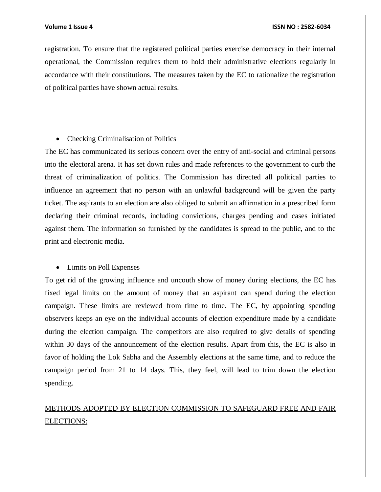registration. To ensure that the registered political parties exercise democracy in their internal operational, the Commission requires them to hold their administrative elections regularly in accordance with their constitutions. The measures taken by the EC to rationalize the registration of political parties have shown actual results.

### • Checking Criminalisation of Politics

The EC has communicated its serious concern over the entry of anti-social and criminal persons into the electoral arena. It has set down rules and made references to the government to curb the threat of criminalization of politics. The Commission has directed all political parties to influence an agreement that no person with an unlawful background will be given the party ticket. The aspirants to an election are also obliged to submit an affirmation in a prescribed form declaring their criminal records, including convictions, charges pending and cases initiated against them. The information so furnished by the candidates is spread to the public, and to the print and electronic media.

### • Limits on Poll Expenses

To get rid of the growing influence and uncouth show of money during elections, the EC has fixed legal limits on the amount of money that an aspirant can spend during the election campaign. These limits are reviewed from time to time. The EC, by appointing spending observers keeps an eye on the individual accounts of election expenditure made by a candidate during the election campaign. The competitors are also required to give details of spending within 30 days of the announcement of the election results. Apart from this, the EC is also in favor of holding the Lok Sabha and the Assembly elections at the same time, and to reduce the campaign period from 21 to 14 days. This, they feel, will lead to trim down the election spending.

# METHODS ADOPTED BY ELECTION COMMISSION TO SAFEGUARD FREE AND FAIR ELECTIONS: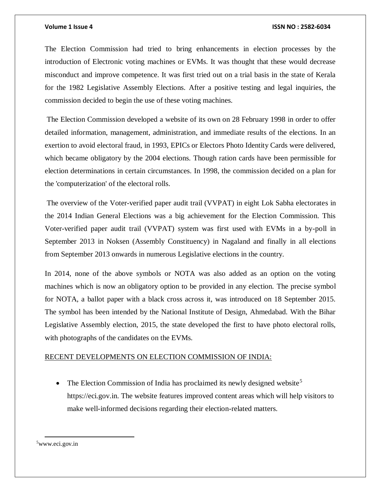The Election Commission had tried to bring enhancements in election processes by the introduction of Electronic voting machines or EVMs. It was thought that these would decrease misconduct and improve competence. It was first tried out on a trial basis in the state of Kerala for the 1982 Legislative Assembly Elections. After a positive testing and legal inquiries, the commission decided to begin the use of these voting machines.

The Election Commission developed a website of its own on 28 February 1998 in order to offer detailed information, management, administration, and immediate results of the elections. In an exertion to avoid electoral fraud, in 1993, EPICs or Electors Photo Identity Cards were delivered, which became obligatory by the 2004 elections. Though ration cards have been permissible for election determinations in certain circumstances. In 1998, the commission decided on a plan for the 'computerization' of the electoral rolls.

The overview of the Voter-verified paper audit trail (VVPAT) in eight Lok Sabha electorates in the 2014 Indian General Elections was a big achievement for the Election Commission. This Voter-verified paper audit trail (VVPAT) system was first used with EVMs in a by-poll in September 2013 in Noksen (Assembly Constituency) in Nagaland and finally in all elections from September 2013 onwards in numerous Legislative elections in the country.

In 2014, none of the above symbols or NOTA was also added as an option on the voting machines which is now an obligatory option to be provided in any election. The precise symbol for NOTA, a ballot paper with a black cross across it, was introduced on 18 September 2015. The symbol has been intended by the National Institute of Design, Ahmedabad. With the Bihar Legislative Assembly election, 2015, the state developed the first to have photo electoral rolls, with photographs of the candidates on the EVMs.

# RECENT DEVELOPMENTS ON ELECTION COMMISSION OF INDIA:

The Election Commission of India has proclaimed its newly designed website<sup>5</sup> https://eci.gov.in. The website features improved content areas which will help visitors to make well-informed decisions regarding their election-related matters.

5www.eci.gov.in